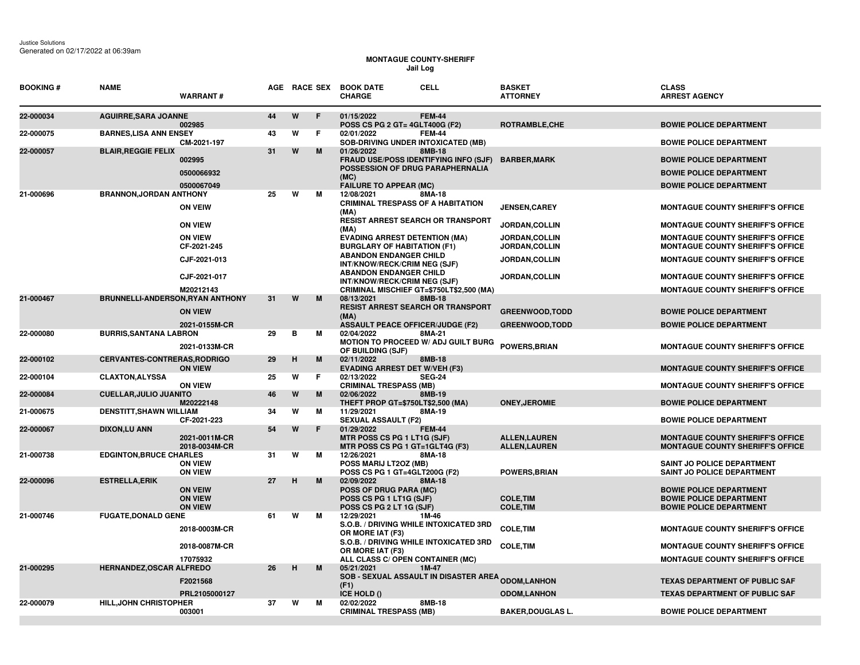## **MONTAGUE COUNTY-SHERIFF Jail Log**

| <b>BOOKING#</b>        | <b>NAME</b>                                           | <b>WARRANT#</b>                                                 |          |        |        | AGE RACE SEX BOOK DATE<br><b>CHARGE</b>                                                                                                   | <b>CELL</b>      | <b>BASKET</b><br><b>ATTORNEY</b>                                     | <b>CLASS</b><br><b>ARREST AGENCY</b>                                                                                                                                     |
|------------------------|-------------------------------------------------------|-----------------------------------------------------------------|----------|--------|--------|-------------------------------------------------------------------------------------------------------------------------------------------|------------------|----------------------------------------------------------------------|--------------------------------------------------------------------------------------------------------------------------------------------------------------------------|
| 22-000034              | <b>AGUIRRE, SARA JOANNE</b>                           | 002985                                                          | 44       | W      | F      | 01/15/2022<br><b>POSS CS PG 2 GT= 4GLT400G (F2)</b>                                                                                       | <b>FEM-44</b>    | ROTRAMBLE, CHE                                                       | <b>BOWIE POLICE DEPARTMENT</b>                                                                                                                                           |
| 22-000075              | <b>BARNES, LISA ANN ENSEY</b>                         | CM-2021-197                                                     | 43       | w      | F.     | 02/01/2022<br><b>SOB-DRIVING UNDER INTOXICATED (MB)</b>                                                                                   | <b>FEM-44</b>    |                                                                      | <b>BOWIE POLICE DEPARTMENT</b>                                                                                                                                           |
| 22-000057              | <b>BLAIR, REGGIE FELIX</b>                            | 002995<br>0500066932<br>0500067049                              | 31       | W      | M      | 01/26/2022<br>FRAUD USE/POSS IDENTIFYING INFO (SJF)<br>POSSESSION OF DRUG PARAPHERNALIA<br>(MC)<br><b>FAILURE TO APPEAR (MC)</b>          | 8MB-18           | <b>BARBER, MARK</b>                                                  | <b>BOWIE POLICE DEPARTMENT</b><br><b>BOWIE POLICE DEPARTMENT</b><br><b>BOWIE POLICE DEPARTMENT</b>                                                                       |
| 21-000696              | <b>BRANNON, JORDAN ANTHONY</b>                        | <b>ON VEIW</b>                                                  | 25       | W      | м      | 12/08/2021<br><b>CRIMINAL TRESPASS OF A HABITATION</b><br>(MA)<br><b>RESIST ARREST SEARCH OR TRANSPORT</b>                                | 8MA-18           | <b>JENSEN,CAREY</b>                                                  | <b>MONTAGUE COUNTY SHERIFF'S OFFICE</b>                                                                                                                                  |
|                        |                                                       | <b>ON VIEW</b><br><b>ON VIEW</b><br>CF-2021-245<br>CJF-2021-013 |          |        |        | (MA)<br><b>EVADING ARREST DETENTION (MA)</b><br><b>BURGLARY OF HABITATION (F1)</b><br><b>ABANDON ENDANGER CHILD</b>                       |                  | JORDAN, COLLIN<br>JORDAN, COLLIN<br>JORDAN, COLLIN<br>JORDAN, COLLIN | <b>MONTAGUE COUNTY SHERIFF'S OFFICE</b><br><b>MONTAGUE COUNTY SHERIFF'S OFFICE</b><br><b>MONTAGUE COUNTY SHERIFF'S OFFICE</b><br><b>MONTAGUE COUNTY SHERIFF'S OFFICE</b> |
|                        |                                                       | CJF-2021-017<br>M20212143                                       |          |        |        | INT/KNOW/RECK/CRIM NEG (SJF)<br><b>ABANDON ENDANGER CHILD</b><br>INT/KNOW/RECK/CRIM NEG (SJF)<br>CRIMINAL MISCHIEF GT=\$750LT\$2,500 (MA) |                  | <b>JORDAN,COLLIN</b>                                                 | <b>MONTAGUE COUNTY SHERIFF'S OFFICE</b><br><b>MONTAGUE COUNTY SHERIFF'S OFFICE</b>                                                                                       |
| 21-000467              | BRUNNELLI-ANDERSON, RYAN ANTHONY                      | <b>ON VIEW</b><br>2021-0155M-CR                                 | 31       | W      | M      | 08/13/2021<br><b>RESIST ARREST SEARCH OR TRANSPORT</b><br>(MA)<br><b>ASSAULT PEACE OFFICER/JUDGE (F2)</b>                                 | 8MB-18           | <b>GREENWOOD, TODD</b><br><b>GREENWOOD, TODD</b>                     | <b>BOWIE POLICE DEPARTMENT</b><br><b>BOWIE POLICE DEPARTMENT</b>                                                                                                         |
| 22-000080              | <b>BURRIS, SANTANA LABRON</b>                         | 2021-0133M-CR                                                   | 29       | в      | м      | 02/04/2022<br>MOTION TO PROCEED W/ ADJ GUILT BURG<br>OF BUILDING (SJF)                                                                    | 8MA-21           | <b>POWERS, BRIAN</b>                                                 | <b>MONTAGUE COUNTY SHERIFF'S OFFICE</b>                                                                                                                                  |
| 22-000102              | <b>CERVANTES-CONTRERAS, RODRIGO</b>                   | <b>ON VIEW</b>                                                  | 29       | н      | M      | 02/11/2022<br><b>EVADING ARREST DET W/VEH (F3)</b>                                                                                        | 8MB-18           |                                                                      | <b>MONTAGUE COUNTY SHERIFF'S OFFICE</b>                                                                                                                                  |
| 22-000104              | <b>CLAXTON, ALYSSA</b>                                | <b>ON VIEW</b>                                                  | 25       | W      | F      | 02/13/2022<br><b>CRIMINAL TRESPASS (MB)</b>                                                                                               | <b>SEG-24</b>    |                                                                      | <b>MONTAGUE COUNTY SHERIFF'S OFFICE</b>                                                                                                                                  |
| 22-000084              | <b>CUELLAR, JULIO JUANITO</b>                         | M20222148                                                       | 46       | W<br>W | M      | 02/06/2022<br>THEFT PROP GT=\$750LT\$2,500 (MA)                                                                                           | 8MB-19<br>8MA-19 | <b>ONEY.JEROMIE</b>                                                  | <b>BOWIE POLICE DEPARTMENT</b>                                                                                                                                           |
| 21-000675<br>22-000067 | <b>DENSTITT, SHAWN WILLIAM</b><br><b>DIXON,LU ANN</b> | CF-2021-223                                                     | 34<br>54 | W      | м<br>F | 11/29/2021<br><b>SEXUAL ASSAULT (F2)</b><br>01/29/2022                                                                                    | <b>FEM-44</b>    |                                                                      | <b>BOWIE POLICE DEPARTMENT</b>                                                                                                                                           |
|                        |                                                       | 2021-0011M-CR<br>2018-0034M-CR                                  |          |        |        | MTR POSS CS PG 1 LT1G (SJF)<br>MTR POSS CS PG 1 GT=1GLT4G (F3)                                                                            |                  | <b>ALLEN,LAUREN</b><br><b>ALLEN, LAUREN</b>                          | <b>MONTAGUE COUNTY SHERIFF'S OFFICE</b><br><b>MONTAGUE COUNTY SHERIFF'S OFFICE</b>                                                                                       |
| 21-000738              | <b>EDGINTON, BRUCE CHARLES</b>                        | <b>ON VIEW</b><br><b>ON VIEW</b>                                | 31       | W      | м      | 12/26/2021<br>POSS MARIJ LT2OZ (MB)<br>POSS CS PG 1 GT=4GLT200G (F2)                                                                      | 8MA-18           | <b>POWERS, BRIAN</b>                                                 | SAINT JO POLICE DEPARTMENT<br><b>SAINT JO POLICE DEPARTMENT</b>                                                                                                          |
| 22-000096              | <b>ESTRELLA, ERIK</b>                                 | <b>ON VEIW</b><br><b>ON VIEW</b><br><b>ON VIEW</b>              | 27       | H      | M      | 02/09/2022<br><b>POSS OF DRUG PARA (MC)</b><br>POSS CS PG 1 LT1G (SJF)<br>POSS CS PG 2 LT 1G (SJF)                                        | 8MA-18           | <b>COLE, TIM</b><br><b>COLE, TIM</b>                                 | <b>BOWIE POLICE DEPARTMENT</b><br><b>BOWIE POLICE DEPARTMENT</b><br><b>BOWIE POLICE DEPARTMENT</b>                                                                       |
| 21-000746              | <b>FUGATE, DONALD GENE</b>                            | 2018-0003M-CR                                                   | 61       | W      | М      | 12/29/2021<br>S.O.B. / DRIVING WHILE INTOXICATED 3RD<br>OR MORE IAT (F3)<br>S.O.B. / DRIVING WHILE INTOXICATED 3RD                        | 1M-46            | <b>COLE, TIM</b>                                                     | MONTAGUE COUNTY SHERIFF'S OFFICE                                                                                                                                         |
|                        |                                                       | 2018-0087M-CR<br>17075932                                       |          |        |        | OR MORE IAT (F3)<br>ALL CLASS C/ OPEN CONTAINER (MC)                                                                                      |                  | <b>COLE.TIM</b>                                                      | <b>MONTAGUE COUNTY SHERIFF'S OFFICE</b><br><b>MONTAGUE COUNTY SHERIFF'S OFFICE</b>                                                                                       |
| 21-000295              | <b>HERNANDEZ, OSCAR ALFREDO</b>                       | F2021568                                                        | 26       | н      | M      | 05/21/2021<br><b>SOB - SEXUAL ASSAULT IN DISASTER AREA <sub>ODOM,</sub>LANHON</b><br>(F1)                                                 | $1M-47$          |                                                                      | <b>TEXAS DEPARTMENT OF PUBLIC SAF</b>                                                                                                                                    |
|                        |                                                       | PRL2105000127                                                   |          | W      |        | ICE HOLD ()                                                                                                                               |                  | <b>ODOM,LANHON</b>                                                   | <b>TEXAS DEPARTMENT OF PUBLIC SAF</b>                                                                                                                                    |
| 22-000079              | <b>HILL, JOHN CHRISTOPHER</b>                         | 003001                                                          | 37       |        | м      | 02/02/2022<br><b>CRIMINAL TRESPASS (MB)</b>                                                                                               | 8MB-18           | <b>BAKER, DOUGLAS L.</b>                                             | <b>BOWIE POLICE DEPARTMENT</b>                                                                                                                                           |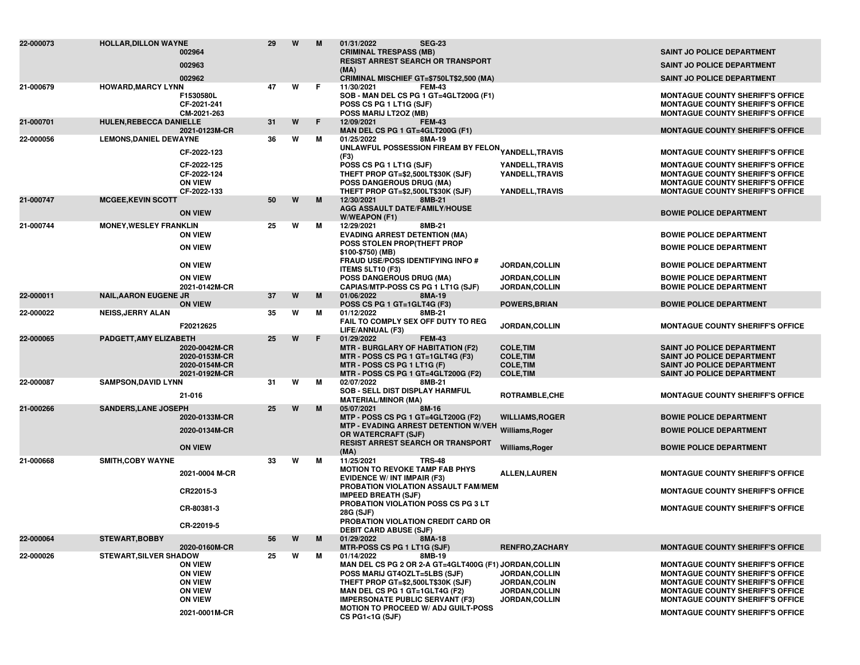| 22-000073 | <b>HOLLAR, DILLON WAYNE</b>    | 002964<br>002963                                                                                        | 29 | W | M  | <b>SEG-23</b><br>01/31/2022<br><b>CRIMINAL TRESPASS (MB)</b><br><b>RESIST ARREST SEARCH OR TRANSPORT</b><br>(MA)                                                                                                                                                                |                                                                                         | <b>SAINT JO POLICE DEPARTMENT</b><br><b>SAINT JO POLICE DEPARTMENT</b>                                                                                                                                                                                         |
|-----------|--------------------------------|---------------------------------------------------------------------------------------------------------|----|---|----|---------------------------------------------------------------------------------------------------------------------------------------------------------------------------------------------------------------------------------------------------------------------------------|-----------------------------------------------------------------------------------------|----------------------------------------------------------------------------------------------------------------------------------------------------------------------------------------------------------------------------------------------------------------|
|           |                                | 002962                                                                                                  |    |   |    | CRIMINAL MISCHIEF GT=\$750LT\$2,500 (MA)                                                                                                                                                                                                                                        |                                                                                         | <b>SAINT JO POLICE DEPARTMENT</b>                                                                                                                                                                                                                              |
| 21-000679 | <b>HOWARD, MARCY LYNN</b>      | F1530580L<br>CF-2021-241<br>CM-2021-263                                                                 | 47 | W | F. | 11/30/2021<br><b>FEM-43</b><br>SOB - MAN DEL CS PG 1 GT=4GLT200G (F1)<br>POSS CS PG 1 LT1G (SJF)<br>POSS MARIJ LT2OZ (MB)                                                                                                                                                       |                                                                                         | <b>MONTAGUE COUNTY SHERIFF'S OFFICE</b><br><b>MONTAGUE COUNTY SHERIFF'S OFFICE</b><br><b>MONTAGUE COUNTY SHERIFF'S OFFICE</b>                                                                                                                                  |
| 21-000701 | <b>HULEN, REBECCA DANIELLE</b> | 2021-0123M-CR                                                                                           | 31 | W | F  | 12/09/2021<br><b>FEM-43</b><br>MAN DEL CS PG 1 GT=4GLT200G (F1)                                                                                                                                                                                                                 |                                                                                         | <b>MONTAGUE COUNTY SHERIFF'S OFFICE</b>                                                                                                                                                                                                                        |
| 22-000056 | <b>LEMONS, DANIEL DEWAYNE</b>  | CF-2022-123<br>CF-2022-125<br>CF-2022-124                                                               | 36 | W | м  | 01/25/2022<br>8MA-19<br>UNLAWFUL POSSESSION FIREAM BY FELON <sub>YANDELL,</sub> TRAVIS<br>(F3)<br>POSS CS PG 1 LT1G (SJF)<br>THEFT PROP GT=\$2,500LT\$30K (SJF)                                                                                                                 | YANDELL, TRAVIS<br>YANDELL, TRAVIS                                                      | <b>MONTAGUE COUNTY SHERIFF'S OFFICE</b><br><b>MONTAGUE COUNTY SHERIFF'S OFFICE</b><br><b>MONTAGUE COUNTY SHERIFF'S OFFICE</b>                                                                                                                                  |
|           |                                | <b>ON VIEW</b><br>CF-2022-133                                                                           |    |   |    | POSS DANGEROUS DRUG (MA)<br>THEFT PROP GT=\$2,500LT\$30K (SJF)                                                                                                                                                                                                                  | YANDELL, TRAVIS                                                                         | <b>MONTAGUE COUNTY SHERIFF'S OFFICE</b><br><b>MONTAGUE COUNTY SHERIFF'S OFFICE</b>                                                                                                                                                                             |
| 21-000747 | <b>MCGEE, KEVIN SCOTT</b>      | <b>ON VIEW</b>                                                                                          | 50 | W | M  | 12/30/2021<br>8MB-21<br>AGG ASSAULT DATE/FAMILY/HOUSE<br>W/WEAPON (F1)                                                                                                                                                                                                          |                                                                                         | <b>BOWIE POLICE DEPARTMENT</b>                                                                                                                                                                                                                                 |
| 21-000744 | <b>MONEY, WESLEY FRANKLIN</b>  | <b>ON VIEW</b>                                                                                          | 25 | w | М  | 12/29/2021<br>8MB-21<br><b>EVADING ARREST DETENTION (MA)</b>                                                                                                                                                                                                                    |                                                                                         | <b>BOWIE POLICE DEPARTMENT</b>                                                                                                                                                                                                                                 |
|           |                                | <b>ON VIEW</b>                                                                                          |    |   |    | POSS STOLEN PROP(THEFT PROP<br>\$100-\$750) (MB)                                                                                                                                                                                                                                |                                                                                         | <b>BOWIE POLICE DEPARTMENT</b>                                                                                                                                                                                                                                 |
|           |                                | <b>ON VIEW</b>                                                                                          |    |   |    | <b>FRAUD USE/POSS IDENTIFYING INFO #</b><br>ITEMS 5LT10 (F3)                                                                                                                                                                                                                    | JORDAN, COLLIN                                                                          | <b>BOWIE POLICE DEPARTMENT</b>                                                                                                                                                                                                                                 |
|           |                                | <b>ON VIEW</b><br>2021-0142M-CR                                                                         |    |   |    | POSS DANGEROUS DRUG (MA)<br>CAPIAS/MTP-POSS CS PG 1 LT1G (SJF)                                                                                                                                                                                                                  | <b>JORDAN, COLLIN</b><br><b>JORDAN, COLLIN</b>                                          | <b>BOWIE POLICE DEPARTMENT</b><br><b>BOWIE POLICE DEPARTMENT</b>                                                                                                                                                                                               |
| 22-000011 | <b>NAIL, AARON EUGENE JR</b>   | <b>ON VIEW</b>                                                                                          | 37 | W | M  | 01/06/2022<br>8MA-19<br>POSS CS PG 1 GT=1GLT4G (F3)                                                                                                                                                                                                                             | <b>POWERS, BRIAN</b>                                                                    | <b>BOWIE POLICE DEPARTMENT</b>                                                                                                                                                                                                                                 |
| 22-000022 | <b>NEISS, JERRY ALAN</b>       |                                                                                                         | 35 | w | м  | 01/12/2022<br>8MB-21                                                                                                                                                                                                                                                            |                                                                                         |                                                                                                                                                                                                                                                                |
|           |                                | F20212625                                                                                               |    |   |    | FAIL TO COMPLY SEX OFF DUTY TO REG<br>LIFE/ANNUAL (F3)                                                                                                                                                                                                                          | <b>JORDAN, COLLIN</b>                                                                   | <b>MONTAGUE COUNTY SHERIFF'S OFFICE</b>                                                                                                                                                                                                                        |
| 22-000065 | PADGETT, AMY ELIZABETH         | 2020-0042M-CR<br>2020-0153M-CR<br>2020-0154M-CR<br>2021-0192M-CR                                        | 25 | W | F  | 01/29/2022<br><b>FEM-43</b><br><b>MTR - BURGLARY OF HABITATION (F2)</b><br>MTR - POSS CS PG 1 GT=1GLT4G (F3)<br>MTR - POSS CS PG 1 LT1G (F)<br>MTR - POSS CS PG 1 GT=4GLT200G (F2)                                                                                              | <b>COLE, TIM</b><br><b>COLE, TIM</b><br><b>COLE, TIM</b><br><b>COLE, TIM</b>            | SAINT JO POLICE DEPARTMENT<br><b>SAINT JO POLICE DEPARTMENT</b><br><b>SAINT JO POLICE DEPARTMENT</b><br>SAINT JO POLICE DEPARTMENT                                                                                                                             |
| 22-000087 | <b>SAMPSON, DAVID LYNN</b>     |                                                                                                         | 31 | W | м  | 02/07/2022<br>8MB-21<br>SOB - SELL DIST DISPLAY HARMFUL                                                                                                                                                                                                                         |                                                                                         |                                                                                                                                                                                                                                                                |
|           |                                | 21-016                                                                                                  |    |   |    | <b>MATERIAL/MINOR (MA)</b>                                                                                                                                                                                                                                                      | ROTRAMBLE, CHE                                                                          | <b>MONTAGUE COUNTY SHERIFF'S OFFICE</b>                                                                                                                                                                                                                        |
| 21-000266 | <b>SANDERS, LANE JOSEPH</b>    | 2020-0133M-CR                                                                                           | 25 | W | M  | 05/07/2021<br>8M-16<br>MTP - POSS CS PG 1 GT=4GLT200G (F2)                                                                                                                                                                                                                      | <b>WILLIAMS, ROGER</b>                                                                  | <b>BOWIE POLICE DEPARTMENT</b>                                                                                                                                                                                                                                 |
|           |                                | 2020-0134M-CR                                                                                           |    |   |    | MTP - EVADING ARREST DETENTION W/VEH Williams, Roger<br>OR WATERCRAFT (SJF)                                                                                                                                                                                                     |                                                                                         | <b>BOWIE POLICE DEPARTMENT</b>                                                                                                                                                                                                                                 |
|           |                                | <b>ON VIEW</b>                                                                                          |    |   |    | <b>RESIST ARREST SEARCH OR TRANSPORT</b><br>(MA)                                                                                                                                                                                                                                | Williams, Roger                                                                         | <b>BOWIE POLICE DEPARTMENT</b>                                                                                                                                                                                                                                 |
| 21-000668 | <b>SMITH, COBY WAYNE</b>       | 2021-0004 M-CR                                                                                          | 33 | W | М  | 11/25/2021<br><b>TRS-48</b><br><b>MOTION TO REVOKE TAMP FAB PHYS</b><br><b>EVIDENCE W/ INT IMPAIR (F3)</b>                                                                                                                                                                      | <b>ALLEN, LAUREN</b>                                                                    | <b>MONTAGUE COUNTY SHERIFF'S OFFICE</b>                                                                                                                                                                                                                        |
|           |                                | CR22015-3                                                                                               |    |   |    | PROBATION VIOLATION ASSAULT FAM/MEM<br><b>IMPEED BREATH (SJF)</b>                                                                                                                                                                                                               |                                                                                         | <b>MONTAGUE COUNTY SHERIFF'S OFFICE</b>                                                                                                                                                                                                                        |
|           |                                | CR-80381-3                                                                                              |    |   |    | PROBATION VIOLATION POSS CS PG 3 LT<br>28G (SJF)                                                                                                                                                                                                                                |                                                                                         | <b>MONTAGUE COUNTY SHERIFF'S OFFICE</b>                                                                                                                                                                                                                        |
|           |                                | CR-22019-5                                                                                              |    |   |    | PROBATION VIOLATION CREDIT CARD OR<br><b>DEBIT CARD ABUSE (SJF)</b>                                                                                                                                                                                                             |                                                                                         |                                                                                                                                                                                                                                                                |
| 22-000064 | <b>STEWART, BOBBY</b>          | 2020-0160M-CR                                                                                           | 56 | W | M  | 01/29/2022<br>8MA-18<br>MTR-POSS CS PG 1 LT1G (SJF)                                                                                                                                                                                                                             | <b>RENFRO,ZACHARY</b>                                                                   | <b>MONTAGUE COUNTY SHERIFF'S OFFICE</b>                                                                                                                                                                                                                        |
| 22-000026 | <b>STEWART, SILVER SHADOW</b>  | <b>ON VIEW</b><br><b>ON VIEW</b><br><b>ON VIEW</b><br><b>ON VIEW</b><br><b>ON VIEW</b><br>2021-0001M-CR | 25 | w | м  | 01/14/2022<br>8MB-19<br>MAN DEL CS PG 2 OR 2-A GT=4GLT400G (F1) JORDAN, COLLIN<br>POSS MARIJ GT4OZLT=5LBS (SJF)<br>THEFT PROP GT=\$2,500LT\$30K (SJF)<br>MAN DEL CS PG 1 GT=1GLT4G (F2)<br><b>IMPERSONATE PUBLIC SERVANT (F3)</b><br><b>MOTION TO PROCEED W/ ADJ GUILT-POSS</b> | JORDAN, COLLIN<br><b>JORDAN,COLIN</b><br><b>JORDAN, COLLIN</b><br><b>JORDAN, COLLIN</b> | <b>MONTAGUE COUNTY SHERIFF'S OFFICE</b><br><b>MONTAGUE COUNTY SHERIFF'S OFFICE</b><br><b>MONTAGUE COUNTY SHERIFF'S OFFICE</b><br><b>MONTAGUE COUNTY SHERIFF'S OFFICE</b><br><b>MONTAGUE COUNTY SHERIFF'S OFFICE</b><br><b>MONTAGUE COUNTY SHERIFF'S OFFICE</b> |
|           |                                |                                                                                                         |    |   |    | CS PG1<1G (SJF)                                                                                                                                                                                                                                                                 |                                                                                         |                                                                                                                                                                                                                                                                |